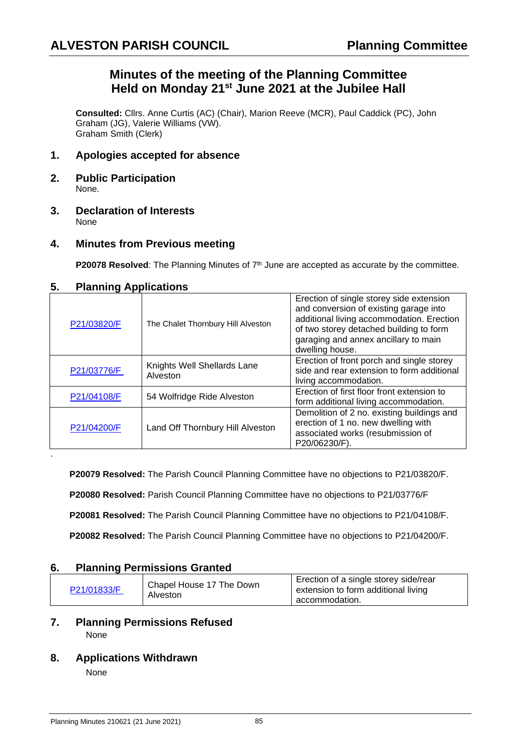# **Minutes of the meeting of the Planning Committee Held on Monday 21st June 2021 at the Jubilee Hall**

**Consulted:** Cllrs. Anne Curtis (AC) (Chair), Marion Reeve (MCR), Paul Caddick (PC), John Graham (JG), Valerie Williams (VW). Graham Smith (Clerk)

### **1. Apologies accepted for absence**

- **2. Public Participation** None.
- **3. Declaration of Interests** None

### **4. Minutes from Previous meeting**

**P20078 Resolved**: The Planning Minutes of 7<sup>th</sup> June are accepted as accurate by the committee.

### **5. Planning Applications**

| $\frac{1}{2}$ |                                         |                                                                                                                                                                                                                                       |  |
|---------------|-----------------------------------------|---------------------------------------------------------------------------------------------------------------------------------------------------------------------------------------------------------------------------------------|--|
| P21/03820/F   | The Chalet Thornbury Hill Alveston      | Erection of single storey side extension<br>and conversion of existing garage into<br>additional living accommodation. Erection<br>of two storey detached building to form<br>garaging and annex ancillary to main<br>dwelling house. |  |
| P21/03776/F   | Knights Well Shellards Lane<br>Alveston | Erection of front porch and single storey<br>side and rear extension to form additional<br>living accommodation.                                                                                                                      |  |
| P21/04108/F   | 54 Wolfridge Ride Alveston              | Erection of first floor front extension to<br>form additional living accommodation.                                                                                                                                                   |  |
| P21/04200/F   | Land Off Thornbury Hill Alveston        | Demolition of 2 no. existing buildings and<br>erection of 1 no. new dwelling with<br>associated works (resubmission of<br>P20/06230/F).                                                                                               |  |

**P20079 Resolved:** The Parish Council Planning Committee have no objections to P21/03820/F.

**P20080 Resolved:** Parish Council Planning Committee have no objections to P21/03776/F

**P20081 Resolved:** The Parish Council Planning Committee have no objections to P21/04108/F.

**P20082 Resolved:** The Parish Council Planning Committee have no objections to P21/04200/F.

### **6. Planning Permissions Granted**

| P21/01833/F | Chapel House 17 The Down<br>Alveston | Erection of a single storey side/rear<br>extension to form additional living<br>accommodation. |
|-------------|--------------------------------------|------------------------------------------------------------------------------------------------|
|-------------|--------------------------------------|------------------------------------------------------------------------------------------------|

#### **7. Planning Permissions Refused** None

#### **8. Applications Withdrawn**

None

.